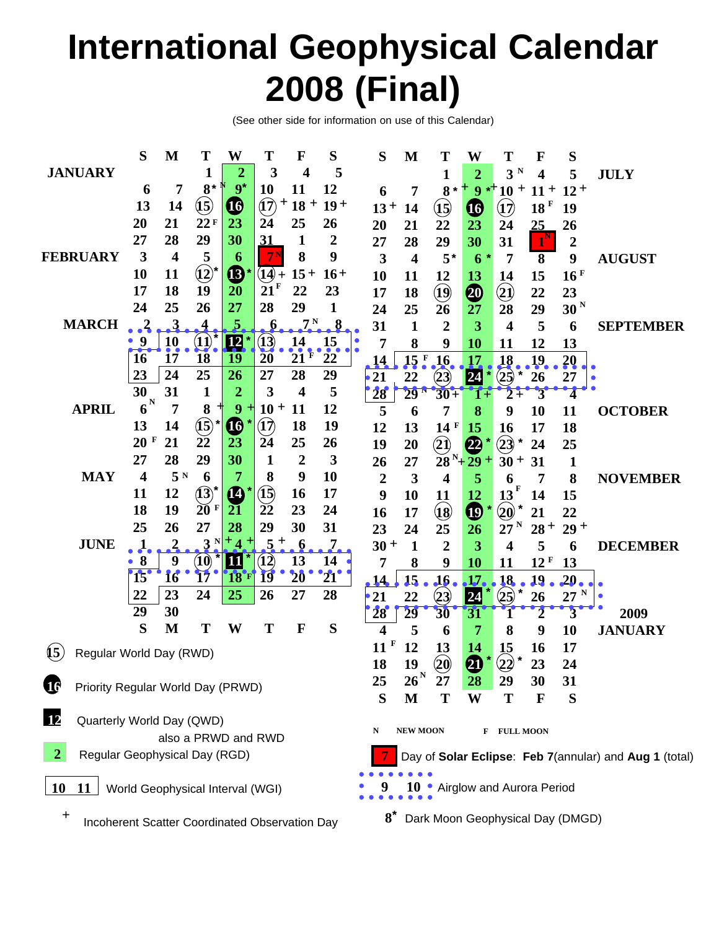# **International Geophysical Calendar 2008 (Final)**

(See other side for information on use of this Calendar)

|                                                                                              | S                                 | M                       | T                          | W                   | Т                            | F                | S                | S                  | M                              | Т                    | W                     | T                            | F                | S                                |                  |
|----------------------------------------------------------------------------------------------|-----------------------------------|-------------------------|----------------------------|---------------------|------------------------------|------------------|------------------|--------------------|--------------------------------|----------------------|-----------------------|------------------------------|------------------|----------------------------------|------------------|
| <b>JANUARY</b>                                                                               |                                   |                         | 1                          | $\overline{2}$      | 3                            | 4                | 5                |                    |                                | 1                    | $\overline{2}$        | N<br>$\overline{\mathbf{3}}$ | 4                | 5                                | <b>JULY</b>      |
|                                                                                              | 6                                 | 7                       | $8*$                       | $9^*$               | <b>10</b>                    | <b>11</b>        | 12               | 6                  | 7                              | $8*$                 | $9 *$                 | $10 +$                       | $11 +$           | $12+$                            |                  |
|                                                                                              | 13                                | 14                      | $\bf \overline{(15)}$      | $\boldsymbol{\Phi}$ | $\hat{a}$<br>$\pm$           | $18 +$           | $19+$            | $13 +$             | 14                             | $\mathbf{I}$         | $\boldsymbol{\Phi}$   | $\left( \mathbf{1}\right)$   | 18 F             | 19                               |                  |
|                                                                                              | 20                                | 21                      | 22F                        | 23                  | 24                           | 25               | 26               | 20                 | 21                             | 22                   | 23                    | 24                           | 25               | 26                               |                  |
|                                                                                              | 27                                | 28                      | 29                         | 30                  | 31                           | 1                | $\boldsymbol{2}$ | 27                 | 28                             | 29                   | 30                    | 31                           | $1^{\mathsf{N}}$ | $\boldsymbol{2}$                 |                  |
| <b>FEBRUARY</b>                                                                              | 3                                 | $\overline{\mathbf{4}}$ | 5                          | 6                   |                              | 8                | 9                | 3                  | $\overline{\mathbf{4}}$        | $5^*$                | 6                     | 7                            | 8                | 9                                | <b>AUGUST</b>    |
|                                                                                              | 10                                | 11                      | $\hat{12}$                 | ®                   | $(14)$ +                     | $15+$            | $16+$            | 10                 | 11                             | 12                   | 13                    | 14                           | 15               | 16 <sup>F</sup>                  |                  |
|                                                                                              | 17                                | 18                      | 19                         | 20                  | 21 <sup>F</sup>              | 22               | 23               | 17                 | 18                             | $\bigcirc$           | 4                     | $\bigcircled{2}$             | 22               | 23                               |                  |
|                                                                                              | 24                                | 25                      | 26                         | 27                  | 28                           | 29               | 1                | 24                 | 25                             | 26                   | 27                    | 28                           | 29               | 30 <sup>N</sup>                  |                  |
| <b>MARCH</b>                                                                                 | $\mathbf{1}$                      | 3                       |                            | 5                   |                              | 7 <sup>N</sup>   | 8                | 31                 | $\mathbf{1}$                   | $\overline{2}$       | 3                     | $\overline{\mathbf{4}}$      | 5                | 6                                | <b>SEPTEMBER</b> |
|                                                                                              | 9                                 | 10                      | $\left( \mathbf{1}\right)$ | <u>12</u>           | 13)                          |                  |                  | 7                  | 8                              | 9                    | 10                    | <b>11</b>                    | 12               | 13                               |                  |
|                                                                                              | 16                                | 17                      | 18                         | 19                  | 20                           | $\frac{14}{21}$  | $\frac{15}{22}$  | 14                 | 15 <sup>F</sup>                | 16                   | 17                    | 18                           | <u>19</u>        | <b>20</b>                        |                  |
|                                                                                              | 23                                | 24                      | 25                         | 26                  | 27                           | 28               | 29               | 21                 | 22                             | (23)                 | 24                    | (25)                         | 26               | 27                               |                  |
|                                                                                              | 30                                | 31                      | 1                          | $\overline{2}$      | 3                            | 4                | 5                | 28                 | $29-1$                         | $30 +$               |                       | 2                            |                  |                                  |                  |
| <b>APRIL</b>                                                                                 | $6^{\mathrm{N}}$                  | 7                       | 8                          | 9<br>╅              | $10 +$                       | <b>11</b>        | 12               | 5                  | 6                              | 7                    | 8                     | 9                            | 10               | 11                               | <b>OCTOBER</b>   |
|                                                                                              | 13                                | 14                      | $\bigcircled{\textbf{1}}$  | $\boldsymbol{\Phi}$ | $\left( \widehat{17}\right)$ | 18               | 19               | 12                 | 13                             | 14F                  | 15                    | <b>16</b>                    | 17               | 18                               |                  |
|                                                                                              | 20<br>F                           | 21                      | 22                         | 23                  | 24                           | 25               | 26               | 19                 | 20                             | $\bf (2)$            | $\boldsymbol{\omega}$ | (23)<br>$\star$              | 24               | 25                               |                  |
|                                                                                              | 27                                | 28                      | 29                         | 30                  | 1                            | $\boldsymbol{2}$ | 3                | 26                 | 27                             | $28^{N}+29$          |                       | $30 +$                       | 31               | $\mathbf 1$                      |                  |
| <b>MAY</b>                                                                                   | 4                                 | 5N                      | 6                          | 7                   | 8                            | 9                | 10               | $\overline{2}$     | $\mathbf{3}$                   | 4                    | 5                     | 6                            | 7                | 8                                | <b>NOVEMBER</b>  |
|                                                                                              | 11                                | 12                      | $\mathbf{\widehat{(13)}}$  | $\boldsymbol{\Phi}$ | $({\bf 15})$                 | 16               | 17               | 9                  | 10                             | 11                   | 12                    | 13                           | 14               | 15                               |                  |
|                                                                                              | 18                                | 19                      | 20 F                       | $2\overline{1}$     | $\tilde{22}$                 | 23               | 24               | 16                 | 17                             | $\overline{18}$      | $\boldsymbol{\Phi}$   | $\bf \hat{20}$               | 21               | 22                               |                  |
|                                                                                              | 25                                | 26                      | 27                         | 28                  | 29                           | 30               | 31               | 23                 | 24                             | 25                   | 26                    | $27^{\mathrm{N}}$            | $28 +$           | $29 +$                           |                  |
| <b>JUNE</b>                                                                                  |                                   | 2                       | 3                          | $+4$<br>$\pm$       | $5^{+}$                      | $\boldsymbol{6}$ | 7.               | $30 +$             | $\mathbf{1}$                   | $\overline{2}$       | 3                     | 4                            | 5                | 6                                | <b>DECEMBER</b>  |
|                                                                                              | 8                                 | 9                       | $\bf(10)$                  | <u>11</u>           | $\bf \overline{12}$          | 13               | 14               | 7                  | 8                              | 9                    | 10                    | 11                           | 12 F             | 13                               |                  |
|                                                                                              | $15^\circ$                        | 16                      | $\bar{1}7$                 | <b>18</b>           | 19                           | 20               | $21^\circ$       | $\sqrt{14}$        | 15                             | .16                  | $\overline{17}$       | 18                           | 19               | 20                               |                  |
|                                                                                              | 22                                | 23                      | 24                         | 25                  | 26                           | 27               | 28               | $\cdot$ 21         | 22                             | $\left( 23\right)$   | 24                    | (25)                         | 26               | N<br>27                          |                  |
|                                                                                              | 29                                | 30                      |                            |                     |                              |                  |                  | 28                 | $\overline{29}$                | 30                   | 31                    | 1                            |                  | 3                                | 2009             |
|                                                                                              | S                                 | M                       | T                          | W                   | T                            | F                | S                | 4                  | 5                              | 6                    | 7                     | 8                            | 9                | 10                               | <b>JANUARY</b>   |
|                                                                                              |                                   |                         |                            |                     |                              |                  |                  | 11                 | 12                             | 13                   | 14                    | 15                           | 16               | 17                               |                  |
| $\overline{\mathbf{15}}$<br>Regular World Day (RWD)                                          |                                   |                         |                            |                     |                              |                  |                  | 18                 | 19                             | $\ddot{\mathbf{20}}$ | 4                     | $\ast$<br>$\bf (22)$         | 23               | 24                               |                  |
|                                                                                              |                                   |                         |                            |                     |                              |                  |                  | 25                 | $\cdot$ N<br>$26^{\degree}$    | 27                   | 28                    | 29                           | 30               | 31                               |                  |
| UG                                                                                           | Priority Regular World Day (PRWD) |                         |                            |                     |                              |                  |                  |                    | M                              | T                    | W                     | T                            | F                | S                                |                  |
|                                                                                              |                                   |                         |                            |                     |                              |                  |                  | S                  |                                |                      |                       |                              |                  |                                  |                  |
| Quarterly World Day (QWD)                                                                    |                                   |                         |                            |                     |                              |                  |                  | N                  | <b>NEW MOON</b>                |                      | F                     | <b>FULL MOON</b>             |                  |                                  |                  |
| also a PRWD and RWD                                                                          |                                   |                         |                            |                     |                              |                  |                  |                    |                                |                      |                       |                              |                  |                                  |                  |
| 2<br>Regular Geophysical Day (RGD)<br>Day of Solar Eclipse: Feb 7(annular) and Aug 1 (total) |                                   |                         |                            |                     |                              |                  |                  |                    |                                |                      |                       |                              |                  |                                  |                  |
|                                                                                              |                                   |                         |                            |                     |                              |                  |                  |                    |                                |                      |                       |                              |                  |                                  |                  |
| <b>10</b><br>World Geophysical Interval (WGI)<br>11                                          |                                   |                         |                            |                     |                              |                  |                  |                    | 10 • Airglow and Aurora Period |                      |                       |                              |                  |                                  |                  |
| $\mathbf +$                                                                                  |                                   |                         |                            |                     |                              |                  |                  | $\boldsymbol{8}^*$ |                                |                      |                       |                              |                  | Dark Moon Geophysical Day (DMGD) |                  |
| Incoherent Scatter Coordinated Observation Day                                               |                                   |                         |                            |                     |                              |                  |                  |                    |                                |                      |                       |                              |                  |                                  |                  |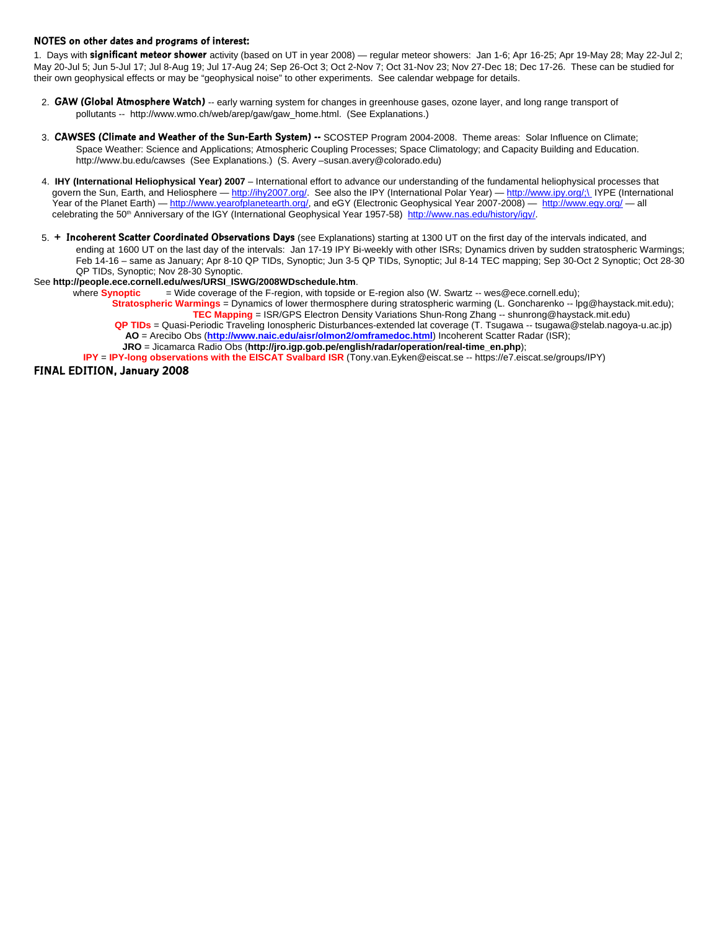### **NOTES on other dates and programs of interest:**

1. Days with **significant meteor shower** activity (based on UT in year 2008) — regular meteor showers: Jan 1-6; Apr 16-25; Apr 19-May 28; May 22-Jul 2; May 20-Jul 5; Jun 5-Jul 17; Jul 8-Aug 19; Jul 17-Aug 24; Sep 26-Oct 3; Oct 2-Nov 7; Oct 31-Nov 23; Nov 27-Dec 18; Dec 17-26. These can be studied for their own geophysical effects or may be "geophysical noise" to other experiments. See calendar webpage for details.

- 2. **GAW (Global Atmosphere Watch)** -- early warning system for changes in greenhouse gases, ozone layer, and long range transport of pollutants -- http://www.wmo.ch/web/arep/gaw/gaw\_home.html. (See Explanations.)
- 3. **CAWSES (Climate and Weather of the Sun-Earth System) --** SCOSTEP Program 2004-2008. Theme areas: Solar Influence on Climate; Space Weather: Science and Applications; Atmospheric Coupling Processes; Space Climatology; and Capacity Building and Education. http://www.bu.edu/cawses (See Explanations.) (S. Avery –susan.avery@colorado.edu)
- 4. **IHY (International Heliophysical Year) 2007** International effort to advance our understanding of the fundamental heliophysical processes that govern the Sun, Earth, and Heliosphere — http://ihy2007.org/. See also the IPY (International Polar Year) — http://www.ipy.org/;\ IYPE (International Year of the Planet Earth) — http://www.yearofplanetearth.org/, and eGY (Electronic Geophysical Year 2007-2008) — http://www.egy.org/ — all celebrating the 50<sup>th</sup> Anniversary of the IGY (International Geophysical Year 1957-58) http://www.nas.edu/history/igy/.
- 5. **+ Incoherent Scatter Coordinated Observations Days** (see Explanations) starting at 1300 UT on the first day of the intervals indicated, and ending at 1600 UT on the last day of the intervals: Jan 17-19 IPY Bi-weekly with other ISRs; Dynamics driven by sudden stratospheric Warmings; Feb 14-16 – same as January; Apr 8-10 QP TIDs, Synoptic; Jun 3-5 QP TIDs, Synoptic; Jul 8-14 TEC mapping; Sep 30-Oct 2 Synoptic; Oct 28-30 QP TIDs, Synoptic; Nov 28-30 Synoptic.

#### See **http://people.ece.cornell.edu/wes/URSI\_ISWG/2008WDschedule.htm**.

where **Synoptic** = Wide coverage of the F-region, with topside or E-region also (W. Swartz -- wes@ece.cornell.edu);  **Stratospheric Warmings** = Dynamics of lower thermosphere during stratospheric warming (L. Goncharenko -- lpg@haystack.mit.edu);

 **TEC Mapping** = ISR/GPS Electron Density Variations Shun-Rong Zhang -- shunrong@haystack.mit.edu)  **QP TIDs** = Quasi-Periodic Traveling Ionospheric Disturbances-extended lat coverage (T. Tsugawa -- tsugawa@stelab.nagoya-u.ac.jp)

 **AO** = Arecibo Obs (**http://www.naic.edu/aisr/olmon2/omframedoc.html**) Incoherent Scatter Radar (ISR); **JRO** = Jicamarca Radio Obs (**http://jro.igp.gob.pe/english/radar/operation/real-time\_en.php**);

**IPY** = **IPY-long observations with the EISCAT Svalbard ISR** (Tony.van.Eyken@eiscat.se -- https://e7.eiscat.se/groups/IPY)

**FINAL EDITION, January 2008**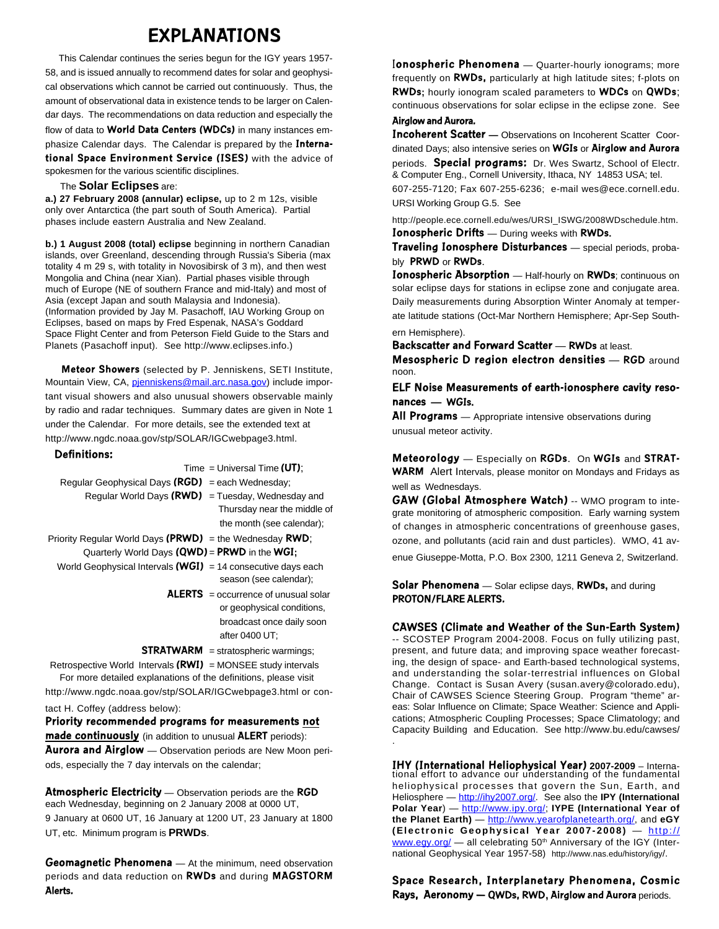## **EXPLANATIONS**

 This Calendar continues the series begun for the IGY years 1957- 58, and is issued annually to recommend dates for solar and geophysical observations which cannot be carried out continuously. Thus, the amount of observational data in existence tends to be larger on Calendar days. The recommendations on data reduction and especially the flow of data to **World Data Centers (WDCs)** in many instances emphasize Calendar days. The Calendar is prepared by the **International Space Environment Service (ISES)** with the advice of spokesmen for the various scientific disciplines.

### The **Solar Eclipses** are:

**a.) 27 February 2008 (annular) eclipse,** up to 2 m 12s, visible only over Antarctica (the part south of South America). Partial phases include eastern Australia and New Zealand.

**b.) 1 August 2008 (total) eclipse** beginning in northern Canadian islands, over Greenland, descending through Russia's Siberia (max totality 4 m 29 s, with totality in Novosibirsk of 3 m), and then west Mongolia and China (near Xian). Partial phases visible through much of Europe (NE of southern France and mid-Italy) and most of Asia (except Japan and south Malaysia and Indonesia). (Information provided by Jay M. Pasachoff, IAU Working Group on Eclipses, based on maps by Fred Espenak, NASA's Goddard Space Flight Center and from Peterson Field Guide to the Stars and Planets (Pasachoff input). See http://www.eclipses.info.)

 **Meteor Showers** (selected by P. Jenniskens, SETI Institute, Mountain View, CA, pjenniskens@mail.arc.nasa.gov) include important visual showers and also unusual showers observable mainly by radio and radar techniques. Summary dates are given in Note 1 under the Calendar. For more details, see the extended text at http://www.ngdc.noaa.gov/stp/SOLAR/IGCwebpage3.html.

### **Definitions:**

Time = Universal Time **(UT)**;

| Regular Geophysical Days ( $RGD$ ) = each Wednesday;    |                             |
|---------------------------------------------------------|-----------------------------|
| Regular World Days $(RWD)$ = Tuesday, Wednesday and     |                             |
|                                                         | Thursday near the middle of |
|                                                         | the month (see calendar);   |
| Priority Regular World Days (PRWD) = the Wednesday RWD; |                             |
|                                                         |                             |

- Quarterly World Days **(QWD)** = **PRWD** in the **WGI;** World Geophysical Intervals **(WGI)** = 14 consecutive days each
	- season (see calendar);
		- **ALERTS** = occurrence of unusual solar or geophysical conditions, broadcast once daily soon after 0400 UT;

**STRATWARM** = stratospheric warmings;

 Retrospective World Intervals **(RWI)** = MONSEE study intervals For more detailed explanations of the definitions, please visit http://www.ngdc.noaa.gov/stp/SOLAR/IGCwebpage3.html or con-

tact H. Coffey (address below):

**Priority recommended programs for measurements not made continuously** (in addition to unusual **ALERT** periods): **Aurora and Airglow** — Observation periods are New Moon periods, especially the 7 day intervals on the calendar;

**Atmospheric Electricity** — Observation periods are the **RGD** each Wednesday, beginning on 2 January 2008 at 0000 UT, 9 January at 0600 UT, 16 January at 1200 UT, 23 January at 1800 UT, etc. Minimum program is **PRWDs**.

**Geomagnetic Phenomena** — At the minimum, need observation periods and data reduction on **RWDs** and during **MAGSTORM Alerts.**

I**onospheric Phenomena** — Quarter-hourly ionograms; more frequently on **RWDs,** particularly at high latitude sites; f-plots on **RWDs;** hourly ionogram scaled parameters to **WDCs** on **QWDs**; continuous observations for solar eclipse in the eclipse zone. See **Airglow and Aurora.**

**Incoherent Scatter —** Observations on Incoherent Scatter Coordinated Days; also intensive series on **WGIs** or **Airglow and Aurora**

periods. **Special programs:** Dr. Wes Swartz, School of Electr. & Computer Eng., Cornell University, Ithaca, NY 14853 USA; tel.

607-255-7120; Fax 607-255-6236; e-mail wes@ece.cornell.edu. URSI Working Group G.5. See

http://people.ece.cornell.edu/wes/URSI\_ISWG/2008WDschedule.htm. **Ionospheric Drifts** — During weeks with **RWDs.**

**Traveling Ionosphere Disturbances** — special periods, probably **PRWD** or **RWDs**.

**Ionospheric Absorption** — Half-hourly on **RWDs**; continuous on solar eclipse days for stations in eclipse zone and conjugate area. Daily measurements during Absorption Winter Anomaly at temperate latitude stations (Oct-Mar Northern Hemisphere; Apr-Sep Southern Hemisphere).

**Backscatter and Forward Scatter** — **RWDs** at least.

**Mesospheric D region electron densities** — **RGD** around noon.

**ELF Noise Measurements of earth-ionosphere cavity resonances — WGIs.**

**All Programs** — Appropriate intensive observations during unusual meteor activity.

**Meteorology** — Especially on **RGDs**. On **WGIs** and **STRAT-WARM** Alert Intervals, please monitor on Mondays and Fridays as well as Wednesdays.

**GAW (Global Atmosphere Watch)** -- WMO program to integrate monitoring of atmospheric composition. Early warning system of changes in atmospheric concentrations of greenhouse gases, ozone, and pollutants (acid rain and dust particles). WMO, 41 av-

enue Giuseppe-Motta, P.O. Box 2300, 1211 Geneva 2, Switzerland.

**Solar Phenomena** — Solar eclipse days, **RWDs,** and during **PROTON/FLARE ALERTS.**

### **CAWSES (Climate and Weather of the Sun-Earth System)**

-- SCOSTEP Program 2004-2008. Focus on fully utilizing past, present, and future data; and improving space weather forecasting, the design of space- and Earth-based technological systems, and understanding the solar-terrestrial influences on Global Change. Contact is Susan Avery (susan.avery@colorado.edu), Chair of CAWSES Science Steering Group. Program "theme" areas: Solar Influence on Climate; Space Weather: Science and Applications; Atmospheric Coupling Processes; Space Climatology; and Capacity Building and Education. See http://www.bu.edu/cawses/ .

**IHY (International Heliophysical Year) 2007-2009** – International effort to advance our understanding of the fundamental heliophysical processes that govern the Sun, Earth, and Heliosphere — http://ihy2007.org/. See also the **IPY (International** Polar Year) — http://www.ipy.org/; **IYPE** (International Year of **the Planet Earth)** — http://www.yearofplanetearth.org/, and **eGY (Electronic Geophysical Year 2007-2008)** — http:// www.egy.org/  $-$  all celebrating 50<sup>th</sup> Anniversary of the IGY (International Geophysical Year 1957-58) http://www.nas.edu/history/igy/.

**Space Research, Interplanetary Phenomena, Cosmic Rays, Aeronomy — QWDs, RWD, Airglow and Aurora** periods.